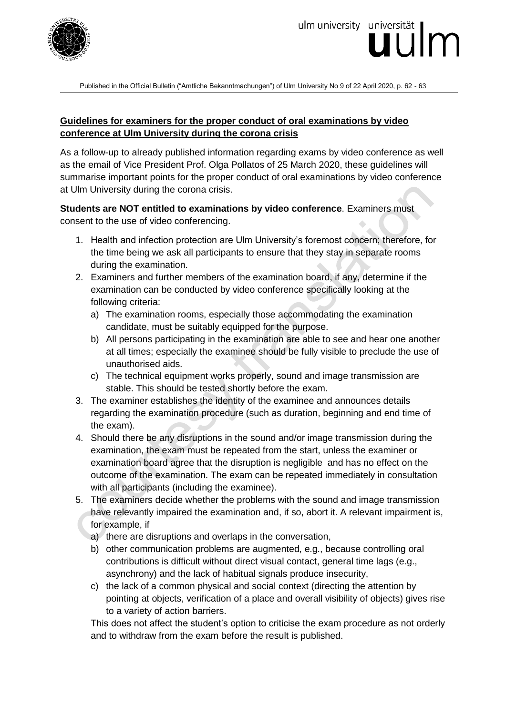

Published in the Official Bulletin ("Amtliche Bekanntmachungen") of Ulm University No 9 of 22 April 2020, p. 62 - 63

## **Guidelines for examiners for the proper conduct of oral examinations by video conference at Ulm University during the corona crisis**

As a follow-up to already published information regarding exams by video conference as well as the email of Vice President Prof. Olga Pollatos of 25 March 2020, these guidelines will summarise important points for the proper conduct of oral examinations by video conference at Ulm University during the corona crisis.

**Students are NOT entitled to examinations by video conference**. Examiners must consent to the use of video conferencing.

- 1. Health and infection protection are Ulm University's foremost concern; therefore, for the time being we ask all participants to ensure that they stay in separate rooms during the examination.
- 2. Examiners and further members of the examination board, if any, determine if the examination can be conducted by video conference specifically looking at the following criteria:
	- a) The examination rooms, especially those accommodating the examination candidate, must be suitably equipped for the purpose.
	- b) All persons participating in the examination are able to see and hear one another at all times; especially the examinee should be fully visible to preclude the use of unauthorised aids.
	- c) The technical equipment works properly, sound and image transmission are stable. This should be tested shortly before the exam.
- 3. The examiner establishes the identity of the examinee and announces details regarding the examination procedure (such as duration, beginning and end time of the exam).
- 4. Should there be any disruptions in the sound and/or image transmission during the examination, the exam must be repeated from the start, unless the examiner or examination board agree that the disruption is negligible and has no effect on the outcome of the examination. The exam can be repeated immediately in consultation with all participants (including the examinee).
- 5. The examiners decide whether the problems with the sound and image transmission have relevantly impaired the examination and, if so, abort it. A relevant impairment is, for example, if
	- a) there are disruptions and overlaps in the conversation,
	- b) other communication problems are augmented, e.g., because controlling oral contributions is difficult without direct visual contact, general time lags (e.g., asynchrony) and the lack of habitual signals produce insecurity,
	- c) the lack of a common physical and social context (directing the attention by pointing at objects, verification of a place and overall visibility of objects) gives rise to a variety of action barriers.

This does not affect the student's option to criticise the exam procedure as not orderly and to withdraw from the exam before the result is published.